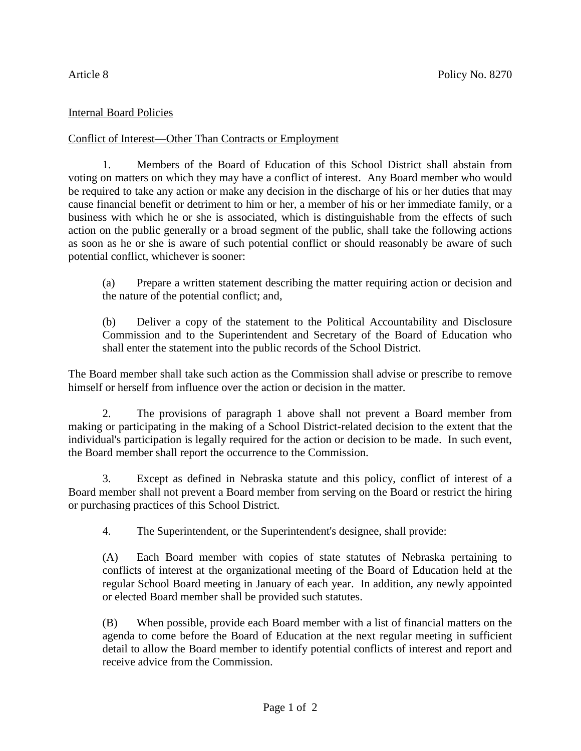## Internal Board Policies

## Conflict of Interest—Other Than Contracts or Employment

1. Members of the Board of Education of this School District shall abstain from voting on matters on which they may have a conflict of interest. Any Board member who would be required to take any action or make any decision in the discharge of his or her duties that may cause financial benefit or detriment to him or her, a member of his or her immediate family, or a business with which he or she is associated, which is distinguishable from the effects of such action on the public generally or a broad segment of the public, shall take the following actions as soon as he or she is aware of such potential conflict or should reasonably be aware of such potential conflict, whichever is sooner:

(a) Prepare a written statement describing the matter requiring action or decision and the nature of the potential conflict; and,

(b) Deliver a copy of the statement to the Political Accountability and Disclosure Commission and to the Superintendent and Secretary of the Board of Education who shall enter the statement into the public records of the School District.

The Board member shall take such action as the Commission shall advise or prescribe to remove himself or herself from influence over the action or decision in the matter.

2. The provisions of paragraph 1 above shall not prevent a Board member from making or participating in the making of a School District-related decision to the extent that the individual's participation is legally required for the action or decision to be made. In such event, the Board member shall report the occurrence to the Commission.

3. Except as defined in Nebraska statute and this policy, conflict of interest of a Board member shall not prevent a Board member from serving on the Board or restrict the hiring or purchasing practices of this School District.

4. The Superintendent, or the Superintendent's designee, shall provide:

(A) Each Board member with copies of state statutes of Nebraska pertaining to conflicts of interest at the organizational meeting of the Board of Education held at the regular School Board meeting in January of each year. In addition, any newly appointed or elected Board member shall be provided such statutes.

(B) When possible, provide each Board member with a list of financial matters on the agenda to come before the Board of Education at the next regular meeting in sufficient detail to allow the Board member to identify potential conflicts of interest and report and receive advice from the Commission.